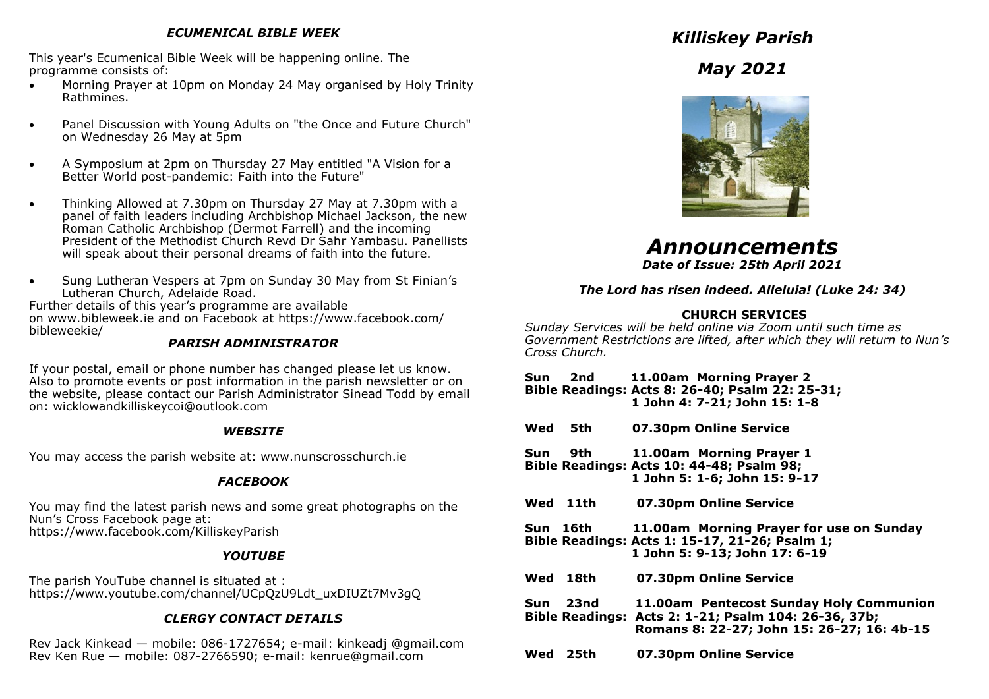## *ECUMENICAL BIBLE WEEK*

This year's Ecumenical Bible Week will be happening online. The programme consists of:

- Morning Prayer at 10pm on Monday 24 May organised by Holy Trinity Rathmines.
- Panel Discussion with Young Adults on "the Once and Future Church" on Wednesday 26 May at 5pm
- A Symposium at 2pm on Thursday 27 May entitled "A Vision for a Better World post-pandemic: Faith into the Future"
- Thinking Allowed at 7.30pm on Thursday 27 May at 7.30pm with a panel of faith leaders including Archbishop Michael Jackson, the new Roman Catholic Archbishop (Dermot Farrell) and the incoming President of the Methodist Church Revd Dr Sahr Yambasu. Panellists will speak about their personal dreams of faith into the future.
- Sung Lutheran Vespers at 7pm on Sunday 30 May from St Finian's Lutheran Church, Adelaide Road.

Further details of this year's programme are available on www.bibleweek.ie and on Facebook at https://www.facebook.com/ bibleweekie/

## *PARISH ADMINISTRATOR*

If your postal, email or phone number has changed please let us know. Also to promote events or post information in the parish newsletter or on the website, please contact our Parish Administrator Sinead Todd by email on: wicklowandkilliskeycoi@outlook.com

## *WEBSITE*

You may access the parish website at: www.nunscrosschurch.ie

# *FACEBOOK*

You may find the latest parish news and some great photographs on the Nun's Cross Facebook page at: https://www.facebook.com/KilliskeyParish

# *YOUTUBE*

The parish YouTube channel is situated at : https://www.youtube.com/channel/UCpQzU9Ldt\_uxDIUZt7Mv3gQ

# *CLERGY CONTACT DETAILS*

Rev Jack Kinkead — mobile: 086-1727654; e-mail: kinkeadj @gmail.com Rev Ken Rue — mobile: 087-2766590; e-mail: kenrue@gmail.com

*Killiskey Parish*

*May 2021*



*Announcements Date of Issue: 25th April 2021*

*The Lord has risen indeed. Alleluia! (Luke 24: 34)*

# **CHURCH SERVICES**

*Sunday Services will be held online via Zoom until such time as Government Restrictions are lifted, after which they will return to Nun's Cross Church.*

- **Sun 2nd 11.00am Morning Prayer 2 Bible Readings: Acts 8: 26-40; Psalm 22: 25-31; 1 John 4: 7-21; John 15: 1-8**
- **Wed 5th 07.30pm Online Service**

**Sun 9th 11.00am Morning Prayer 1 Bible Readings: Acts 10: 44-48; Psalm 98; 1 John 5: 1-6; John 15: 9-17**

- **Wed 11th 07.30pm Online Service**
- **Sun 16th 11.00am Morning Prayer for use on Sunday Bible Readings: Acts 1: 15-17, 21-26; Psalm 1; 1 John 5: 9-13; John 17: 6-19**
- **Wed 18th 07.30pm Online Service**
- **Sun 23nd 11.00am Pentecost Sunday Holy Communion Bible Readings: Acts 2: 1-21; Psalm 104: 26-36, 37b; Romans 8: 22-27; John 15: 26-27; 16: 4b-15**
- **Wed 25th 07.30pm Online Service**